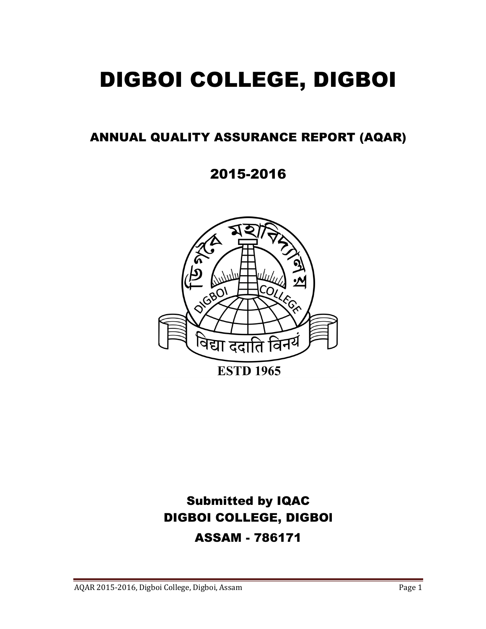# DIGBOI COLLEGE, DIGBOI

# ANNUAL QUALITY ASSURANCE REPORT (AQAR)

2015-2016



# Submitted by IQAC DIGBOI COLLEGE, DIGBOl ASSAM - 786171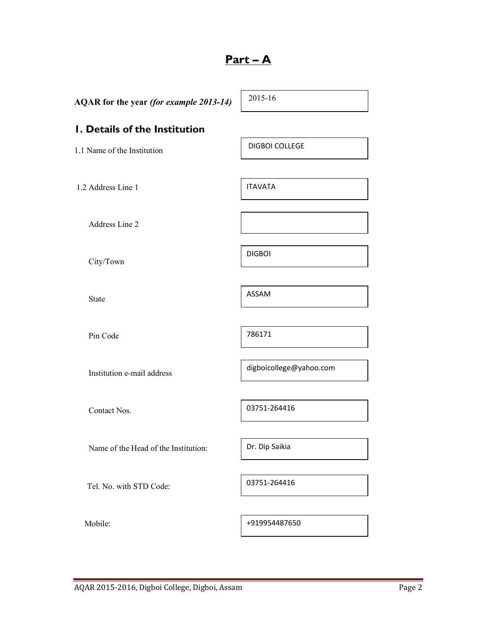# Part – A

| AQAR for the year (for example 2013-14) | 2015-16                 |  |
|-----------------------------------------|-------------------------|--|
| I. Details of the Institution           |                         |  |
| 1.1 Name of the Institution             | <b>DIGBOI COLLEGE</b>   |  |
|                                         |                         |  |
| 1.2 Address Line 1                      | <b>ITAVATA</b>          |  |
| Address Line 2                          |                         |  |
| City/Town                               | <b>DIGBOI</b>           |  |
| State                                   | <b>ASSAM</b>            |  |
| Pin Code                                | 786171                  |  |
| Institution e-mail address              | digboicollege@yahoo.com |  |
| Contact Nos.                            | 03751-264416            |  |
| Name of the Head of the Institution:    | Dr. Dip Saikia          |  |
| Tel. No. with STD Code:                 | 03751-264416            |  |
| Mobile:                                 | +919954487650           |  |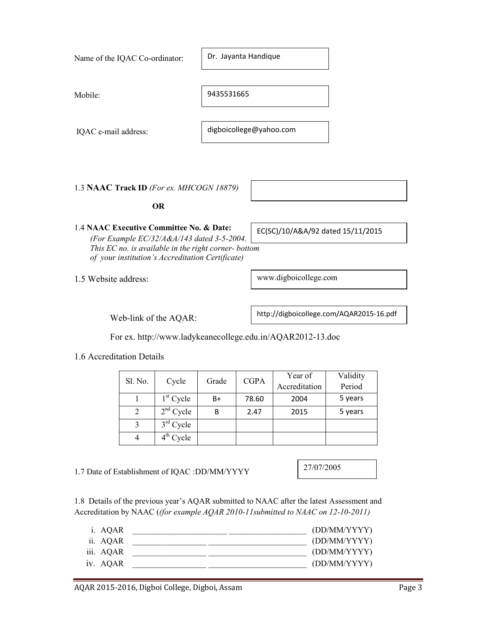| IQAC e-mail address:                          |         |                                                                                                                                                        |       | digboicollege@yahoo.com |                                                                                                                                                                                |                                          |        |
|-----------------------------------------------|---------|--------------------------------------------------------------------------------------------------------------------------------------------------------|-------|-------------------------|--------------------------------------------------------------------------------------------------------------------------------------------------------------------------------|------------------------------------------|--------|
|                                               |         |                                                                                                                                                        |       |                         |                                                                                                                                                                                |                                          |        |
| 1.3 NAAC Track ID (For ex. MHCOGN 18879)      |         |                                                                                                                                                        |       |                         |                                                                                                                                                                                |                                          |        |
|                                               |         | <b>OR</b>                                                                                                                                              |       |                         |                                                                                                                                                                                |                                          |        |
| 1.4 NAAC Executive Committee No. & Date:      |         | (For Example EC/32/A&A/143 dated 3-5-2004.<br>This EC no. is available in the right corner- bottom<br>of your institution's Accreditation Certificate) |       |                         | EC(SC)/10/A&A/92 dated 15/11/2015                                                                                                                                              |                                          |        |
| 1.5 Website address:                          |         |                                                                                                                                                        |       |                         | www.digboicollege.com                                                                                                                                                          |                                          |        |
|                                               |         | Web-link of the AQAR:                                                                                                                                  |       |                         |                                                                                                                                                                                | http://digboicollege.com/AQAR2015-16.pdf |        |
|                                               |         |                                                                                                                                                        |       |                         | For ex. http://www.ladykeanecollege.edu.in/AQAR2012-13.doc                                                                                                                     |                                          |        |
| 1.6 Accreditation Details                     |         |                                                                                                                                                        |       |                         |                                                                                                                                                                                |                                          |        |
|                                               | Sl. No. | Cycle                                                                                                                                                  | Grade | <b>CGPA</b>             | Year of<br>Accreditation                                                                                                                                                       | Validity<br>Period                       |        |
|                                               | 1       | $1st$ Cycle                                                                                                                                            | B+    | 78.60                   | 2004                                                                                                                                                                           | 5 years                                  |        |
|                                               | 2       | $2nd$ Cycle                                                                                                                                            | B     | 2.47                    | 2015                                                                                                                                                                           | 5 years                                  |        |
|                                               | 3       | $3rd$ Cycle                                                                                                                                            |       |                         |                                                                                                                                                                                |                                          |        |
|                                               | 4       | 4 <sup>th</sup> Cycle                                                                                                                                  |       |                         |                                                                                                                                                                                |                                          |        |
| 1.7 Date of Establishment of IQAC :DD/MM/YYYY |         |                                                                                                                                                        |       |                         | 27/07/2005                                                                                                                                                                     |                                          |        |
|                                               |         |                                                                                                                                                        |       |                         | 1.8 Details of the previous year's AQAR submitted to NAAC after the latest Assessment and<br>Accreditation by NAAC ((for example AQAR 2010-11 submitted to NAAC on 12-10-2011) |                                          |        |
| i. AQAR                                       |         | <u> 2008 - Jan James James James James James James James James James James James James James James James James J</u>                                   |       |                         |                                                                                                                                                                                | (DD/MM/YYYY)                             |        |
| ii. AQAR                                      |         | <u> 2000 - 2000 - 2000 - 2000 - 2000 - 2000 - 2000 - 2000 - 2000 - 2000 - 2000 - 2000 - 2000 - 2000 - 2000 - 200</u>                                   |       |                         |                                                                                                                                                                                | (DD/MM/YYYY)                             |        |
| iii. AQAR                                     |         |                                                                                                                                                        |       |                         |                                                                                                                                                                                | (DD/MM/YYYY)                             |        |
| iv. AQAR                                      |         | <u> 1989 - Johann John Barn, mars eta inperiodoren eta inperiodorea (h. 1989).</u>                                                                     |       |                         |                                                                                                                                                                                | (DD/MM/YYYY)                             |        |
|                                               |         | AQAR 2015-2016, Digboi College, Digboi, Assam                                                                                                          |       |                         |                                                                                                                                                                                |                                          | Page 3 |

Dr. Jayanta Handique

9435531665

Name of the IQAC Co-ordinator:

Mobile: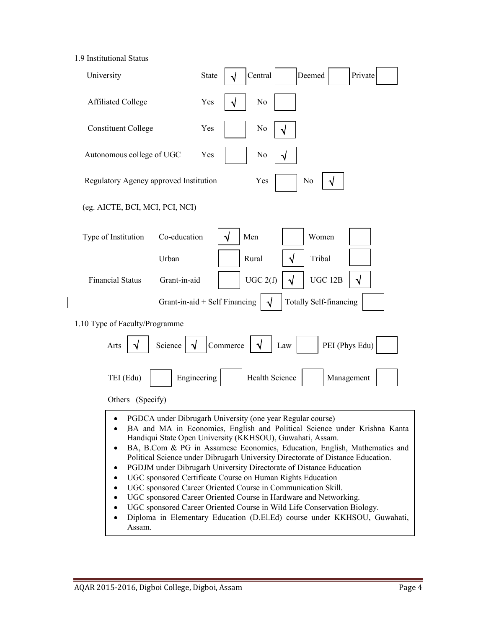1.9 Institutional Status

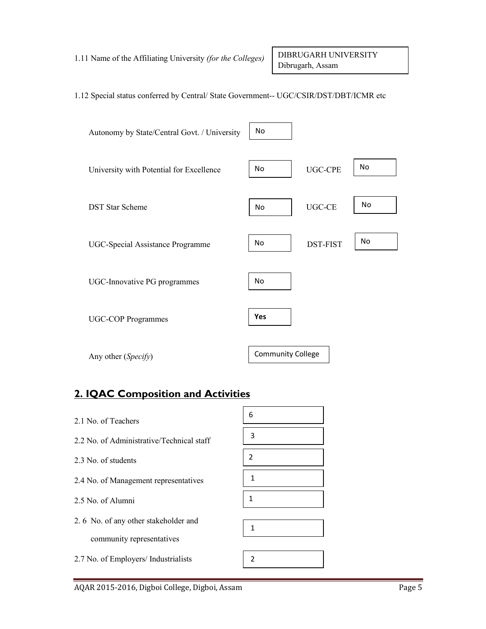#### 1.12 Special status conferred by Central/ State Government-- UGC/CSIR/DST/DBT/ICMR etc



# 2. IQAC Composition and Activities

| 2.1 No of Teachers                        | 6              |
|-------------------------------------------|----------------|
| 2.2 No. of Administrative/Technical staff | 3              |
| 2.3 No. of students                       | $\overline{2}$ |
| 2.4 No. of Management representatives     | $\mathbf{1}$   |
| 2.5 No. of Alumni                         | 1              |
|                                           |                |
| 2.6 No. of any other stakeholder and      | 1              |
| community representatives                 |                |
| 2.7 No. of Employers/ Industrialists      | 2              |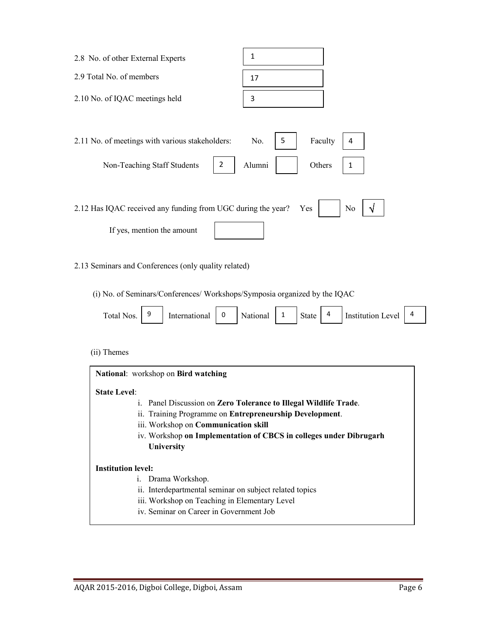| 2.8 No. of other External Experts                                                                                                                                                                         | $\mathbf{1}$                                                                                                                        |
|-----------------------------------------------------------------------------------------------------------------------------------------------------------------------------------------------------------|-------------------------------------------------------------------------------------------------------------------------------------|
| 2.9 Total No. of members                                                                                                                                                                                  | 17                                                                                                                                  |
| 2.10 No. of IQAC meetings held                                                                                                                                                                            | 3                                                                                                                                   |
| 2.11 No. of meetings with various stakeholders:<br>Non-Teaching Staff Students<br>$\overline{2}$                                                                                                          | Faculty<br>No.<br>5<br>4<br>Alumni<br>Others<br>1                                                                                   |
| 2.12 Has IQAC received any funding from UGC during the year?<br>If yes, mention the amount                                                                                                                | N <sub>0</sub><br>Yes                                                                                                               |
| 2.13 Seminars and Conferences (only quality related)                                                                                                                                                      |                                                                                                                                     |
| (i) No. of Seminars/Conferences/ Workshops/Symposia organized by the IQAC<br>Total Nos.<br>9<br>International<br>0                                                                                        | 4<br><b>Institution Level</b><br>National<br>4<br>$\mathbf{1}$<br><b>State</b>                                                      |
| (ii) Themes                                                                                                                                                                                               |                                                                                                                                     |
| National: workshop on Bird watching<br><b>State Level:</b><br>1.<br>ii. Training Programme on Entrepreneurship Development.<br>iii. Workshop on Communication skill<br>University                         | Panel Discussion on Zero Tolerance to Illegal Wildlife Trade.<br>iv. Workshop on Implementation of CBCS in colleges under Dibrugarh |
| <b>Institution level:</b><br>Drama Workshop.<br>1.<br>ii. Interdepartmental seminar on subject related topics<br>iii. Workshop on Teaching in Elementary Level<br>iv. Seminar on Career in Government Job |                                                                                                                                     |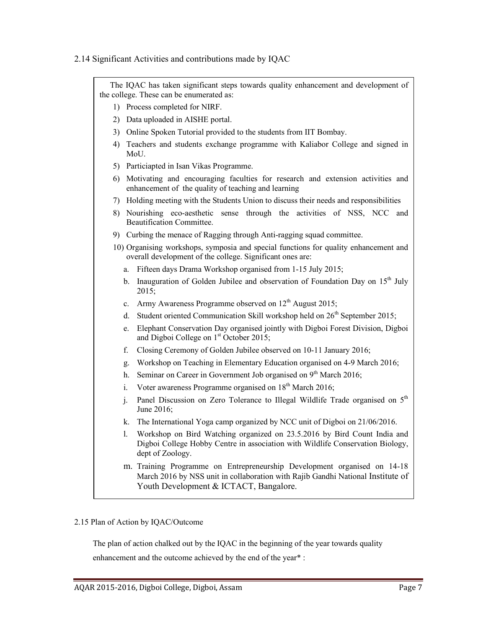#### 2.14 Significant Activities and contributions made by IQAC



#### 2.15 Plan of Action by IQAC/Outcome

The plan of action chalked out by the IQAC in the beginning of the year towards quality

enhancement and the outcome achieved by the end of the year\* :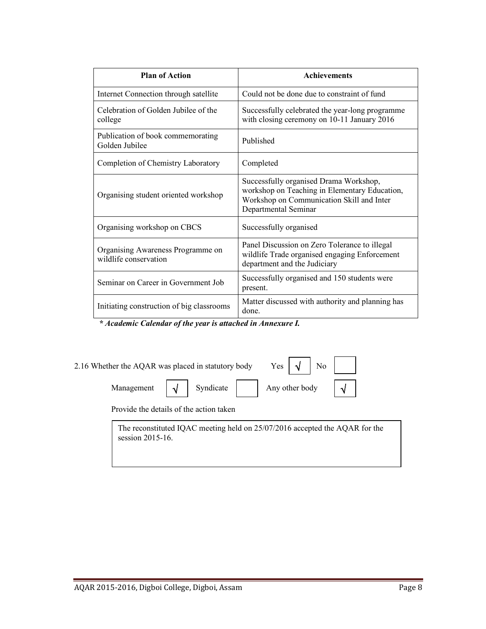| <b>Plan of Action</b>                                      | <b>Achievements</b>                                                                                                                                          |
|------------------------------------------------------------|--------------------------------------------------------------------------------------------------------------------------------------------------------------|
| Internet Connection through satellite                      | Could not be done due to constraint of fund                                                                                                                  |
| Celebration of Golden Jubilee of the<br>college            | Successfully celebrated the year-long programme<br>with closing ceremony on 10-11 January 2016                                                               |
| Publication of book commemorating<br>Golden Jubilee        | Published                                                                                                                                                    |
| Completion of Chemistry Laboratory                         | Completed                                                                                                                                                    |
| Organising student oriented workshop                       | Successfully organised Drama Workshop,<br>workshop on Teaching in Elementary Education,<br>Workshop on Communication Skill and Inter<br>Departmental Seminar |
| Organising workshop on CBCS                                | Successfully organised                                                                                                                                       |
| Organising Awareness Programme on<br>wildlife conservation | Panel Discussion on Zero Tolerance to illegal<br>wildlife Trade organised engaging Enforcement<br>department and the Judiciary                               |
| Seminar on Career in Government Job                        | Successfully organised and 150 students were<br>present.                                                                                                     |
| Initiating construction of big classrooms                  | Matter discussed with authority and planning has<br>done.                                                                                                    |

\* Academic Calendar of the year is attached in Annexure I.

| 2.16 Whether the AQAR was placed in statutory body |                                                                                                      | $\begin{array}{c c c c c} \text{Yes} & \text{y} & \text{No} & \text{ii} \end{array}$ |  |
|----------------------------------------------------|------------------------------------------------------------------------------------------------------|--------------------------------------------------------------------------------------|--|
|                                                    | Management $\left  \right. \sqrt{\left }$ Syndicate $\left  \right $ Any other body $\left  \right $ |                                                                                      |  |
| Provide the details of the action taken            |                                                                                                      |                                                                                      |  |

The reconstituted IQAC meeting held on 25/07/2016 accepted the AQAR for the session 2015-16.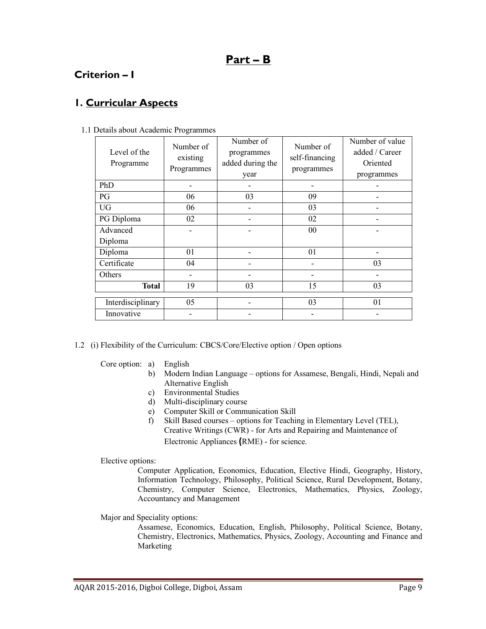# Part – B

# Criterion – I

# 1. Curricular Aspects

| Level of the<br>Programme | Number of<br>existing<br>Programmes | Number of<br>programmes<br>added during the<br>year | Number of<br>self-financing<br>programmes | Number of value<br>added / Career<br>Oriented<br>programmes |
|---------------------------|-------------------------------------|-----------------------------------------------------|-------------------------------------------|-------------------------------------------------------------|
| PhD                       |                                     |                                                     |                                           |                                                             |
| PG                        | 06                                  | 03                                                  | 09                                        | $\blacksquare$                                              |
| <b>UG</b>                 | 06                                  |                                                     | 03                                        |                                                             |
| PG Diploma                | 02                                  |                                                     | 02                                        |                                                             |
| Advanced                  |                                     |                                                     | 00                                        |                                                             |
| Diploma                   |                                     |                                                     |                                           |                                                             |
| Diploma                   | 01                                  |                                                     | 01                                        |                                                             |
| Certificate               | 04                                  |                                                     |                                           | 03                                                          |
| Others                    |                                     |                                                     |                                           |                                                             |
| <b>Total</b>              | 19                                  | 03                                                  | 15                                        | 03                                                          |
| Interdisciplinary         | 05                                  |                                                     | 03                                        | 01                                                          |
| Innovative                |                                     |                                                     |                                           |                                                             |

1.1 Details about Academic Programmes

- 1.2 (i) Flexibility of the Curriculum: CBCS/Core/Elective option / Open options
	- Core option: a) English
		- b) Modern Indian Language options for Assamese, Bengali, Hindi, Nepali and Alternative English
		- c) Environmental Studies
		- d) Multi-disciplinary course
		- e) Computer Skill or Communication Skill
		- f) Skill Based courses options for Teaching in Elementary Level (TEL), Creative Writings (CWR) - for Arts and Repairing and Maintenance of Electronic Appliances (RME) - for science.

Elective options:

 Computer Application, Economics, Education, Elective Hindi, Geography, History, Information Technology, Philosophy, Political Science, Rural Development, Botany, Chemistry, Computer Science, Electronics, Mathematics, Physics, Zoology, Accountancy and Management

Major and Speciality options:

 Assamese, Economics, Education, English, Philosophy, Political Science, Botany, Chemistry, Electronics, Mathematics, Physics, Zoology, Accounting and Finance and Marketing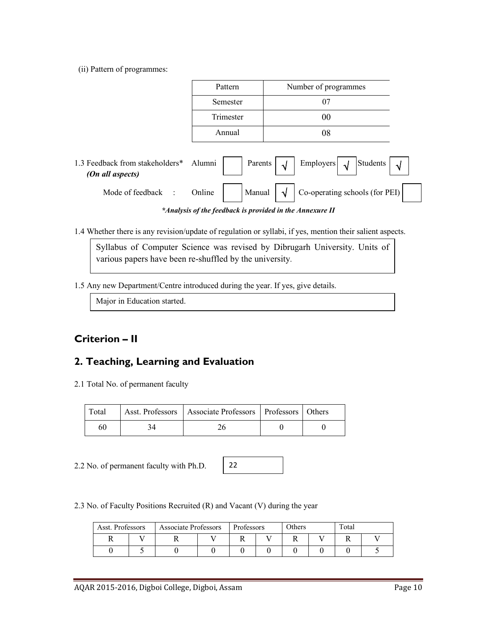(ii) Pattern of programmes:

|                                                     | Pattern                                                  | Number of programmes                                                |
|-----------------------------------------------------|----------------------------------------------------------|---------------------------------------------------------------------|
|                                                     | Semester                                                 | 07                                                                  |
|                                                     | Trimester                                                | 00                                                                  |
|                                                     | Annual                                                   | 08                                                                  |
| 1.3 Feedback from stakeholders*<br>(On all aspects) | Alumni<br>Parents                                        | Students<br>Employers $\sqrt{\sqrt{ }}$<br>$\sqrt{ }$<br>$\sqrt{ }$ |
| Mode of feedback<br>$\sim 10^6$                     | Manual<br>Online                                         | Co-operating schools (for PEI)<br>ึง                                |
|                                                     | *Analysis of the feedback is provided in the Annexure II |                                                                     |

1.4 Whether there is any revision/update of regulation or syllabi, if yes, mention their salient aspects.

Syllabus of Computer Science was revised by Dibrugarh University. Units of various papers have been re-shuffled by the university.

1.5 Any new Department/Centre introduced during the year. If yes, give details.

Major in Education started.

# Criterion – II

# 2. Teaching, Learning and Evaluation

2.1 Total No. of permanent faculty

| Total | Asst. Professors   Associate Professors   Professors   Others |  |
|-------|---------------------------------------------------------------|--|
| 60    |                                                               |  |

2.2 No. of permanent faculty with Ph.D.

|--|

2.3 No. of Faculty Positions Recruited (R) and Vacant (V) during the year

| Asst. Professors |  | Professors |  | Others<br><b>Associate Professors</b> |  | Total |  |
|------------------|--|------------|--|---------------------------------------|--|-------|--|
|                  |  |            |  |                                       |  |       |  |
|                  |  |            |  |                                       |  |       |  |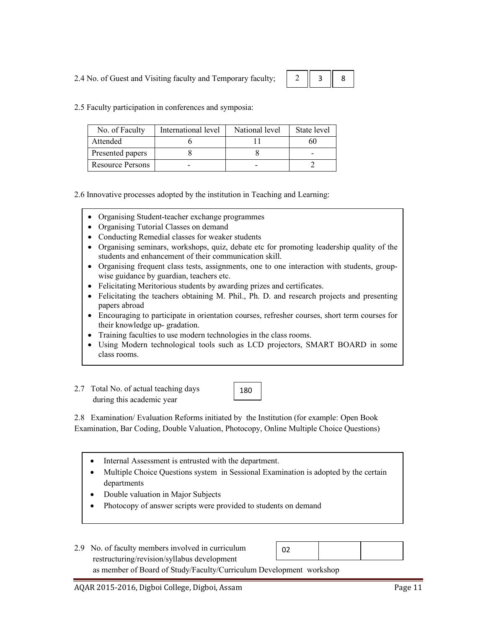2.4 No. of Guest and Visiting faculty and Temporary faculty;

|--|--|--|

2.5 Faculty participation in conferences and symposia:

| No. of Faculty          | International level | National level | State level |
|-------------------------|---------------------|----------------|-------------|
| Attended                |                     |                |             |
| Presented papers        |                     |                |             |
| <b>Resource Persons</b> |                     |                |             |

2.6 Innovative processes adopted by the institution in Teaching and Learning:

- Organising Student-teacher exchange programmes
- Organising Tutorial Classes on demand
- Conducting Remedial classes for weaker students
- Organising seminars, workshops, quiz, debate etc for promoting leadership quality of the students and enhancement of their communication skill.
- Organising frequent class tests, assignments, one to one interaction with students, groupwise guidance by guardian, teachers etc.
- Felicitating Meritorious students by awarding prizes and certificates.
- Felicitating the teachers obtaining M. Phil., Ph. D. and research projects and presenting papers abroad
- Encouraging to participate in orientation courses, refresher courses, short term courses for their knowledge up- gradation.
- Training faculties to use modern technologies in the class rooms.
- Using Modern technological tools such as LCD projectors, SMART BOARD in some class rooms.
- 2.7 Total No. of actual teaching days during this academic year

180

2.8 Examination/ Evaluation Reforms initiated by the Institution (for example: Open Book Examination, Bar Coding, Double Valuation, Photocopy, Online Multiple Choice Questions)

- Internal Assessment is entrusted with the department.
- Multiple Choice Questions system in Sessional Examination is adopted by the certain departments
- Double valuation in Major Subjects
- Photocopy of answer scripts were provided to students on demand
- 2.9 No. of faculty members involved in curriculum restructuring/revision/syllabus development as member of Board of Study/Faculty/Curriculum Development workshop 02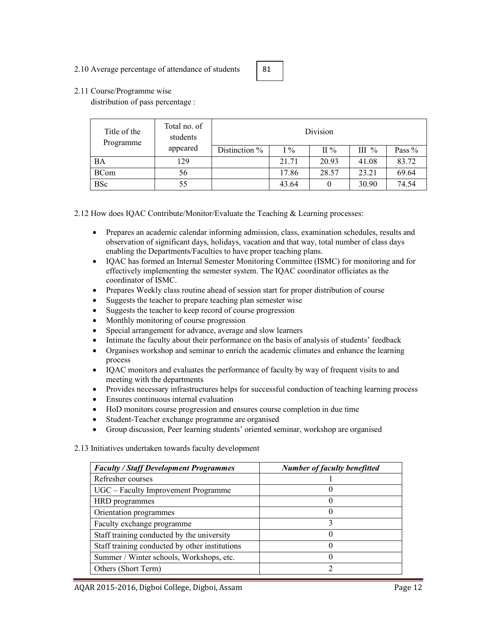#### 2.10 Average percentage of attendance of students



#### 2.11 Course/Programme wise

distribution of pass percentage :

| Title of the<br>Programme | Total no. of<br>students | Division      |       |                 |         |        |  |  |
|---------------------------|--------------------------|---------------|-------|-----------------|---------|--------|--|--|
|                           | appeared                 | Distinction % | $1\%$ | $\mathrm{II}$ % | III $%$ | Pass % |  |  |
| <b>BA</b>                 | 129                      |               | 21.71 | 20.93           | 41.08   | 83.72  |  |  |
| <b>BCom</b>               | 56                       |               | 17.86 | 28.57           | 23.21   | 69.64  |  |  |
| <b>BSc</b>                | 55                       |               | 43.64 |                 | 30.90   | 74.54  |  |  |

2.12 How does IQAC Contribute/Monitor/Evaluate the Teaching & Learning processes:

- Prepares an academic calendar informing admission, class, examination schedules, results and observation of significant days, holidays, vacation and that way, total number of class days enabling the Departments/Faculties to have proper teaching plans.
- IQAC has formed an Internal Semester Monitoring Committee (ISMC) for monitoring and for effectively implementing the semester system. The IQAC coordinator officiates as the coordinator of ISMC.
- Prepares Weekly class routine ahead of session start for proper distribution of course
- Suggests the teacher to prepare teaching plan semester wise
- Suggests the teacher to keep record of course progression
- Monthly monitoring of course progression
- Special arrangement for advance, average and slow learners
- Intimate the faculty about their performance on the basis of analysis of students' feedback
- Organises workshop and seminar to enrich the academic climates and enhance the learning process
- IOAC monitors and evaluates the performance of faculty by way of frequent visits to and meeting with the departments
- Provides necessary infrastructures helps for successful conduction of teaching learning process
- Ensures continuous internal evaluation
- HoD monitors course progression and ensures course completion in due time
- Student-Teacher exchange programme are organised
- Group discussion, Peer learning students' oriented seminar, workshop are organised
- 2.13 Initiatives undertaken towards faculty development

| <b>Faculty / Staff Development Programmes</b>  | <b>Number of faculty benefitted</b> |
|------------------------------------------------|-------------------------------------|
| Refresher courses                              |                                     |
| UGC – Faculty Improvement Programme            |                                     |
| HRD programmes                                 |                                     |
| Orientation programmes                         | 0                                   |
| Faculty exchange programme                     |                                     |
| Staff training conducted by the university     |                                     |
| Staff training conducted by other institutions | $\Omega$                            |
| Summer / Winter schools, Workshops, etc.       | $\theta$                            |
| Others (Short Term)                            |                                     |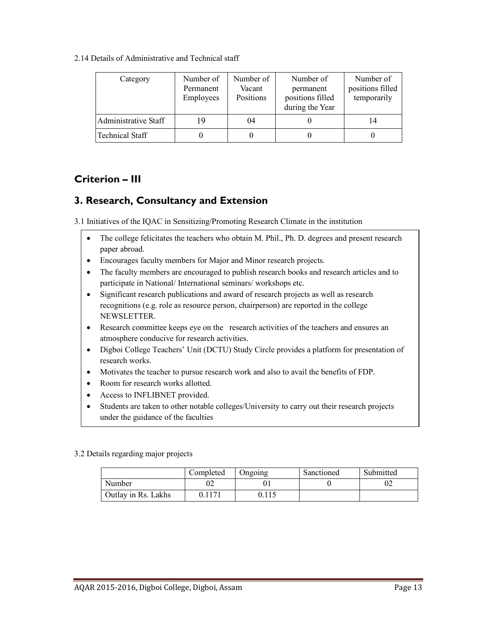2.14 Details of Administrative and Technical staff

| Category             | Number of<br>Permanent<br>Employees | Number of<br>Vacant<br>Positions | Number of<br>permanent<br>positions filled<br>during the Year | Number of<br>positions filled<br>temporarily |
|----------------------|-------------------------------------|----------------------------------|---------------------------------------------------------------|----------------------------------------------|
| Administrative Staff | 19                                  | 04                               |                                                               | 14                                           |
| Technical Staff      |                                     |                                  |                                                               |                                              |

# Criterion – III

# 3. Research, Consultancy and Extension

3.1 Initiatives of the IQAC in Sensitizing/Promoting Research Climate in the institution

- The college felicitates the teachers who obtain M. Phil., Ph. D. degrees and present research paper abroad.
- Encourages faculty members for Major and Minor research projects.
- The faculty members are encouraged to publish research books and research articles and to participate in National/ International seminars/ workshops etc.
- Significant research publications and award of research projects as well as research recognitions (e.g. role as resource person, chairperson) are reported in the college NEWSLETTER.
- Research committee keeps eye on the research activities of the teachers and ensures an atmosphere conducive for research activities.
- Digboi College Teachers' Unit (DCTU) Study Circle provides a platform for presentation of research works.
- Motivates the teacher to pursue research work and also to avail the benefits of FDP.
- Room for research works allotted.
- Access to INFLIBNET provided.
- Students are taken to other notable colleges/University to carry out their research projects under the guidance of the faculties

#### 3.2 Details regarding major projects

•

|                     | Completed | Ongoing | Sanctioned | Submitted |
|---------------------|-----------|---------|------------|-----------|
| Number              | JZ        |         |            | UZ        |
| Outlay in Rs. Lakhs |           | 0.115   |            |           |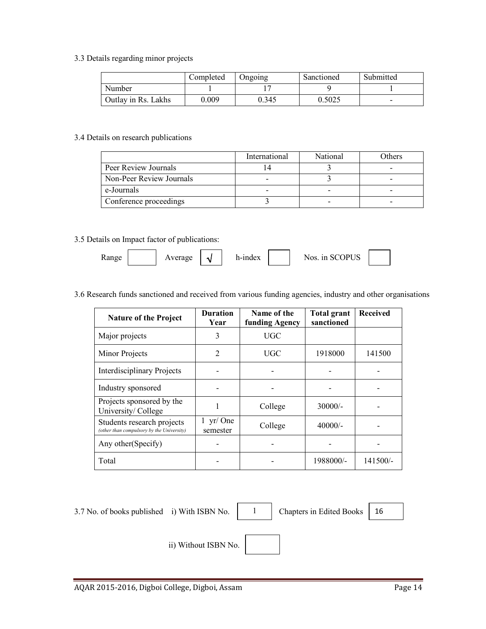3.3 Details regarding minor projects

|                     | Completed | Ongoing | Sanctioned | Submitted |
|---------------------|-----------|---------|------------|-----------|
| Number              |           |         |            |           |
| Outlay in Rs. Lakhs | 0.009     | 0.345   | 0.5025     | -         |

#### 3.4 Details on research publications

|                          | International | National | Others |
|--------------------------|---------------|----------|--------|
| Peer Review Journals     |               |          |        |
| Non-Peer Review Journals |               |          |        |
| e-Journals               |               |          |        |
| Conference proceedings   |               |          | -      |

#### 3.5 Details on Impact factor of publications:

| <b>Range</b> | verage | h-index | <b>SCOPUS</b><br>Nos 1n |  |
|--------------|--------|---------|-------------------------|--|
|              |        |         |                         |  |

#### 3.6 Research funds sanctioned and received from various funding agencies, industry and other organisations

| <b>Nature of the Project</b>                                            | <b>Duration</b><br>Year               | Name of the<br>funding Agency | <b>Total grant</b><br>sanctioned | <b>Received</b> |
|-------------------------------------------------------------------------|---------------------------------------|-------------------------------|----------------------------------|-----------------|
| Major projects                                                          | 3                                     | <b>UGC</b>                    |                                  |                 |
| Minor Projects                                                          | $\overline{2}$                        | UGC                           | 1918000                          | 141500          |
| <b>Interdisciplinary Projects</b>                                       |                                       |                               |                                  |                 |
| Industry sponsored                                                      |                                       |                               |                                  |                 |
| Projects sponsored by the<br>University/College                         |                                       | College                       | $30000/-$                        |                 |
| Students research projects<br>(other than compulsory by the University) | $1 \text{ yr}/\text{One}$<br>semester | College                       | $40000/-$                        |                 |
| Any other (Specify)                                                     |                                       |                               |                                  |                 |
| Total                                                                   |                                       |                               | 1988000/-                        | $141500/-$      |

3.7 No. of books published i) With ISBN No.  $\begin{vmatrix} 1 & 1 \\ 0 & 1 \end{vmatrix}$ 

Chapters in Edited Books | 16

ii) Without ISBN No.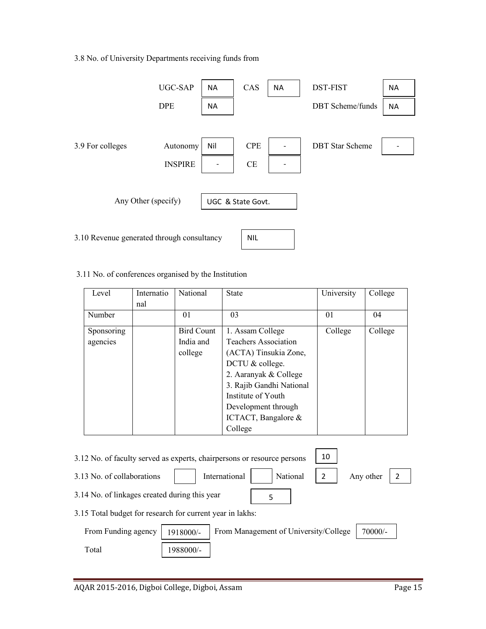### 3.8 No. of University Departments receiving funds from

|                                            | <b>UGC-SAP</b> | <b>NA</b>         | CAS        | <b>NA</b> | <b>DST-FIST</b>         | <b>NA</b> |
|--------------------------------------------|----------------|-------------------|------------|-----------|-------------------------|-----------|
|                                            | <b>DPE</b>     | <b>NA</b>         |            |           | <b>DBT</b> Scheme/funds | <b>NA</b> |
|                                            |                |                   |            |           |                         |           |
| 3.9 For colleges                           | Autonomy       | Nil               | <b>CPE</b> |           | <b>DBT</b> Star Scheme  |           |
|                                            | <b>INSPIRE</b> |                   | <b>CE</b>  |           |                         |           |
|                                            |                |                   |            |           |                         |           |
| Any Other (specify)                        |                | UGC & State Govt. |            |           |                         |           |
|                                            |                |                   |            |           |                         |           |
| 3.10 Revenue generated through consultancy |                |                   |            |           |                         |           |

### 3.11 No. of conferences organised by the Institution

| Level      | Internatio<br>nal | <b>National</b>   | <b>State</b>             | University | College |
|------------|-------------------|-------------------|--------------------------|------------|---------|
| Number     |                   | 01                | 03                       | 01         | 04      |
| Sponsoring |                   | <b>Bird Count</b> | 1. Assam College         | College    | College |
| agencies   |                   | India and         | Teachers Association     |            |         |
|            |                   | college           | (ACTA) Tinsukia Zone,    |            |         |
|            |                   |                   | DCTU & college.          |            |         |
|            |                   |                   | 2. Aaranyak & College    |            |         |
|            |                   |                   | 3. Rajib Gandhi National |            |         |
|            |                   |                   | Institute of Youth       |            |         |
|            |                   |                   | Development through      |            |         |
|            |                   |                   | ICTACT, Bangalore $\&$   |            |         |
|            |                   |                   | College                  |            |         |

| 3.12 No. of faculty served as experts, chairpersons or resource persons |                                                           |               |  |                                       |  |           |  |
|-------------------------------------------------------------------------|-----------------------------------------------------------|---------------|--|---------------------------------------|--|-----------|--|
| 3.13 No. of collaborations                                              |                                                           | International |  | National                              |  | Any other |  |
| 3.14 No. of linkages created during this year                           |                                                           |               |  |                                       |  |           |  |
|                                                                         | 3.15 Total budget for research for current year in lakhs: |               |  |                                       |  |           |  |
| From Funding agency                                                     | 1918000/-                                                 |               |  | From Management of University/College |  | 70000/-   |  |
| Total                                                                   | 1988000/-                                                 |               |  |                                       |  |           |  |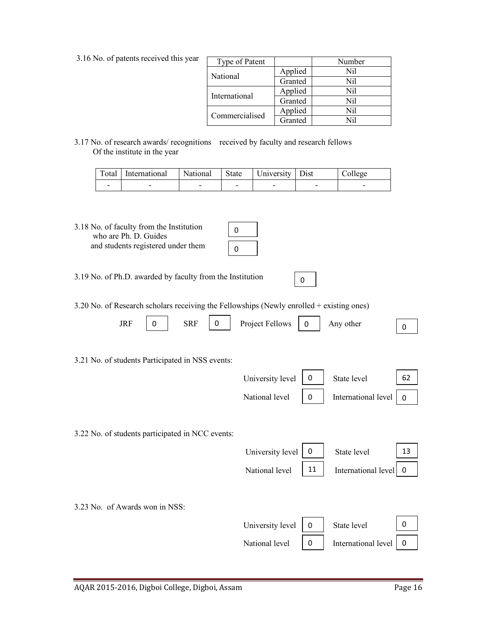| Type of Patent |         | Number |
|----------------|---------|--------|
| National       | Applied | Nil    |
|                | Granted | Nil    |
|                | Applied | Nil    |
| International  | Granted | Nil    |
| Commercialised | Applied | Nil    |
|                | Granted | Nil    |

0

3.17 No. of research awards/ recognitions received by faculty and research fellows Of the institute in the year

| Total International National State University Dist |   |                          |                          | College |
|----------------------------------------------------|---|--------------------------|--------------------------|---------|
|                                                    | - | $\overline{\phantom{0}}$ | $\overline{\phantom{0}}$ |         |

3.18 No. of faculty from the Institution who are Ph. D. Guides and students registered under them

3.19 No. of Ph.D. awarded by faculty from the Institution

3.20 No. of Research scholars receiving the Fellowships (Newly enrolled + existing ones)

|  |  | JRF $\boxed{0}$ SRF $\boxed{0}$ Project Fellows $\boxed{0}$ Any other |  |  |
|--|--|-----------------------------------------------------------------------|--|--|
|  |  |                                                                       |  |  |

3.21 No. of students Participated in NSS events:

| University level $\begin{vmatrix} 0 \\ \end{vmatrix}$ State level |                                                                                                                                                  | 62 |  |
|-------------------------------------------------------------------|--------------------------------------------------------------------------------------------------------------------------------------------------|----|--|
|                                                                   | National level $\begin{array}{ c c c } \hline 0 & \hline \end{array}$ International level $\begin{array}{ c c c } \hline 0 & \hline \end{array}$ |    |  |

3.22 No. of students participated in NCC events:

|                                | University level | 0        | State level         | 13          |
|--------------------------------|------------------|----------|---------------------|-------------|
|                                | National level   | 11       | International level | ∣ 0         |
|                                |                  |          |                     |             |
| 3.23 No. of Awards won in NSS: |                  |          |                     |             |
|                                | University level | $\Omega$ | State level         | $\mathbf 0$ |
|                                | National level   | 0        | International level |             |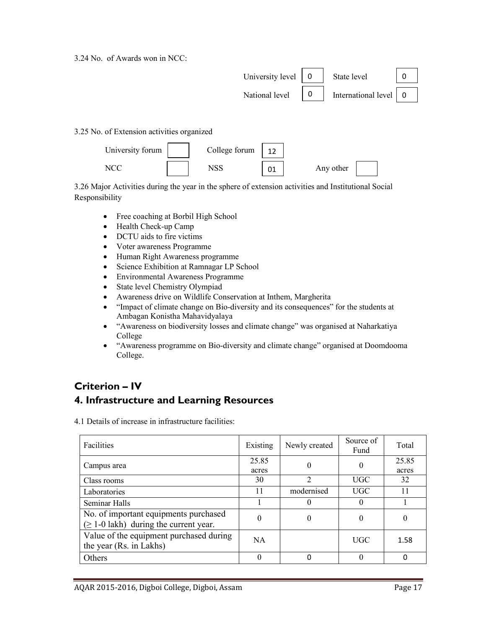3.24 No. of Awards won in NCC:



3.25 No. of Extension activities organized



3.26 Major Activities during the year in the sphere of extension activities and Institutional Social Responsibility

- Free coaching at Borbil High School
- Health Check-up Camp
- DCTU aids to fire victims
- Voter awareness Programme
- Human Right Awareness programme
- Science Exhibition at Ramnagar LP School
- Environmental Awareness Programme
- State level Chemistry Olympiad
- Awareness drive on Wildlife Conservation at Inthem, Margherita
- "Impact of climate change on Bio-diversity and its consequences" for the students at Ambagan Konistha Mahavidyalaya
- "Awareness on biodiversity losses and climate change" was organised at Naharkatiya College
- "Awareness programme on Bio-diversity and climate change" organised at Doomdooma College.

# Criterion – IV

## 4. Infrastructure and Learning Resources

4.1 Details of increase in infrastructure facilities:

| <b>Facilities</b>                                                                    | Existing       | Newly created  | Source of<br>Fund | Total          |
|--------------------------------------------------------------------------------------|----------------|----------------|-------------------|----------------|
| Campus area                                                                          | 25.85<br>acres | $\theta$       | $\theta$          | 25.85<br>acres |
| Class rooms                                                                          | 30             | $\mathfrak{D}$ | UGC               | 32             |
| Laboratories                                                                         | 11             | modernised     | <b>UGC</b>        | 11             |
| Seminar Halls                                                                        |                |                | $\theta$          |                |
| No. of important equipments purchased<br>$(\geq 1$ -0 lakh) during the current year. | 0              | $\Omega$       | 0                 | $\theta$       |
| Value of the equipment purchased during<br>the year (Rs. in Lakhs)                   | <b>NA</b>      |                | UGC               | 1.58           |
| Others                                                                               | $\theta$       | ŋ              | $\Omega$          | 0              |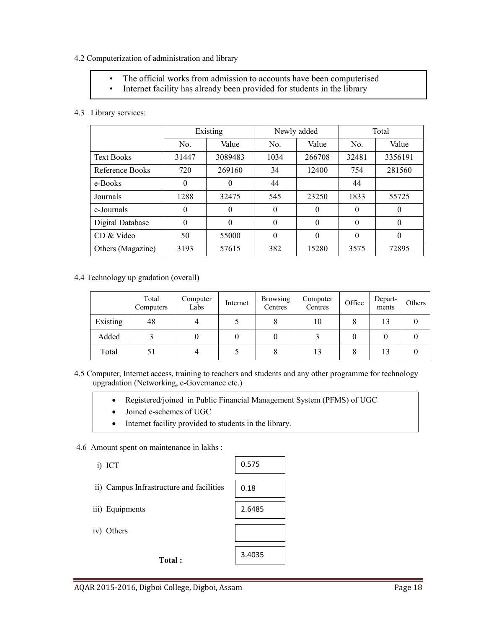#### 4.2 Computerization of administration and library

- The official works from admission to accounts have been computerised
- Internet facility has already been provided for students in the library

#### 4.3 Library services:

|                   | Existing |          |          | Newly added | Total    |          |  |
|-------------------|----------|----------|----------|-------------|----------|----------|--|
|                   | No.      | Value    | No.      | Value       | No.      | Value    |  |
| <b>Text Books</b> | 31447    | 3089483  | 1034     | 266708      | 32481    | 3356191  |  |
| Reference Books   | 720      | 269160   | 34       | 12400       | 754      | 281560   |  |
| e-Books           | $\theta$ | $\Omega$ | 44       |             | 44       |          |  |
| Journals          | 1288     | 32475    | 545      | 23250       | 1833     | 55725    |  |
| e-Journals        | $\theta$ | $\Omega$ | $\theta$ | $\theta$    | $\theta$ | $\theta$ |  |
| Digital Database  | $\theta$ | $\Omega$ | $\theta$ | $\theta$    | $\theta$ | $\theta$ |  |
| CD & Video        | 50       | 55000    | $\theta$ | $\theta$    | $\theta$ | $\theta$ |  |
| Others (Magazine) | 3193     | 57615    | 382      | 15280       | 3575     | 72895    |  |

#### 4.4 Technology up gradation (overall)

|          | Total<br>Computers | Computer<br>Labs | Internet | <b>Browsing</b><br>Centres | Computer<br>Centres | Office | Depart-<br>ments | Others |
|----------|--------------------|------------------|----------|----------------------------|---------------------|--------|------------------|--------|
| Existing | 48                 |                  |          |                            | 10                  |        | 13               |        |
| Added    |                    |                  |          |                            |                     |        |                  |        |
| Total    |                    |                  |          |                            | 13                  | Ω      | 13               |        |

- 4.5 Computer, Internet access, training to teachers and students and any other programme for technology upgradation (Networking, e-Governance etc.)
	- Registered/joined in Public Financial Management System (PFMS) of UGC
	- Joined e-schemes of UGC
	- Internet facility provided to students in the library.

#### 4.6 Amount spent on maintenance in lakhs :

- i) ICT
- ii) Campus Infrastructure and facilities
- iii) Equipments
- iv) Others

Total :

| 0.575  |
|--------|
|        |
| 0.18   |
| 2.6485 |
|        |
|        |
| 3.4035 |
|        |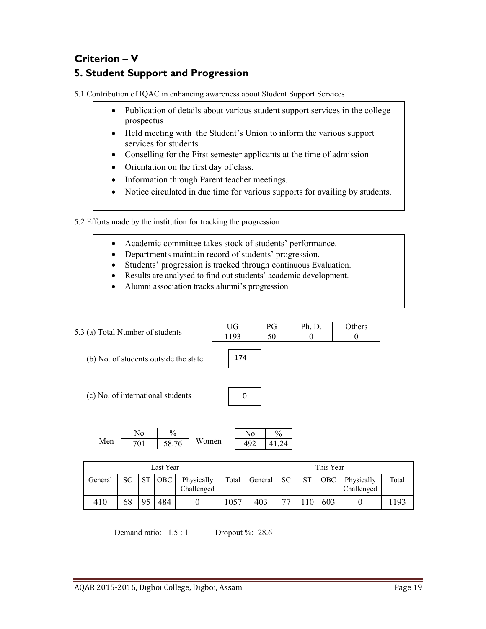# Criterion – V 5. Student Support and Progression

5.1 Contribution of IQAC in enhancing awareness about Student Support Services

- Publication of details about various student support services in the college prospectus
- Held meeting with the Student's Union to inform the various support services for students
- Conselling for the First semester applicants at the time of admission
- Orientation on the first day of class.
- Information through Parent teacher meetings.
- Notice circulated in due time for various supports for availing by students.

5.2 Efforts made by the institution for tracking the progression

- Academic committee takes stock of students' performance.
- Departments maintain record of students' progression.
- Students' progression is tracked through continuous Evaluation.
- Results are analysed to find out students' academic development.
- Alumni association tracks alumni's progression

| 5.3 (a) Total Number of students      |    |                       |                        |                          | <b>UG</b> | PG                    |                        | Ph. D.    |            | Others                   |       |
|---------------------------------------|----|-----------------------|------------------------|--------------------------|-----------|-----------------------|------------------------|-----------|------------|--------------------------|-------|
|                                       |    |                       |                        |                          | 1193      | 50                    |                        | $\theta$  |            | $\theta$                 |       |
| (b) No. of students outside the state |    |                       |                        |                          | 174       |                       |                        |           |            |                          |       |
| (c) No. of international students     |    |                       |                        |                          |           | 0                     |                        |           |            |                          |       |
| Men                                   |    | N <sub>0</sub><br>701 | $\frac{0}{0}$<br>58.76 | Women                    |           | N <sub>0</sub><br>492 | $\frac{0}{0}$<br>41.24 |           |            |                          |       |
|                                       |    |                       | Last Year              |                          |           |                       |                        |           | This Year  |                          |       |
| General                               | SC | <b>ST</b>             | OBC                    | Physically<br>Challenged | Total     | General               | <b>SC</b>              | <b>ST</b> | <b>OBC</b> | Physically<br>Challenged | Total |
|                                       |    |                       |                        |                          |           |                       |                        |           |            |                          |       |

410 | 68 | 95 | 484 | 0 1057 | 403 | 77 | 110 | 603 | 0 | 1193

Demand ratio:  $1.5:1$  Dropout %: 28.6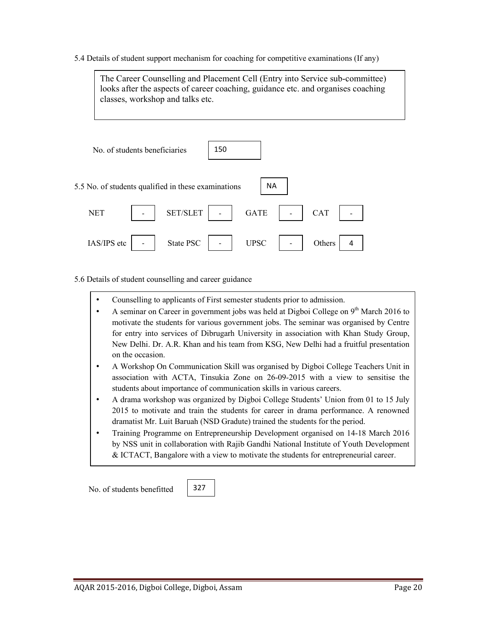5.4 Details of student support mechanism for coaching for competitive examinations (If any)



5.6 Details of student counselling and career guidance

• Counselling to applicants of First semester students prior to admission.

327

- A seminar on Career in government jobs was held at Digboi College on  $9<sup>th</sup>$  March 2016 to motivate the students for various government jobs. The seminar was organised by Centre for entry into services of Dibrugarh University in association with Khan Study Group, New Delhi. Dr. A.R. Khan and his team from KSG, New Delhi had a fruitful presentation on the occasion.
- A Workshop On Communication Skill was organised by Digboi College Teachers Unit in association with ACTA, Tinsukia Zone on 26-09-2015 with a view to sensitise the students about importance of communication skills in various careers.
- A drama workshop was organized by Digboi College Students' Union from 01 to 15 July 2015 to motivate and train the students for career in drama performance. A renowned dramatist Mr. Luit Baruah (NSD Gradute) trained the students for the period.
- Training Programme on Entrepreneurship Development organised on 14-18 March 2016 by NSS unit in collaboration with Rajib Gandhi National Institute of Youth Development & ICTACT, Bangalore with a view to motivate the students for entrepreneurial career.

No. of students benefitted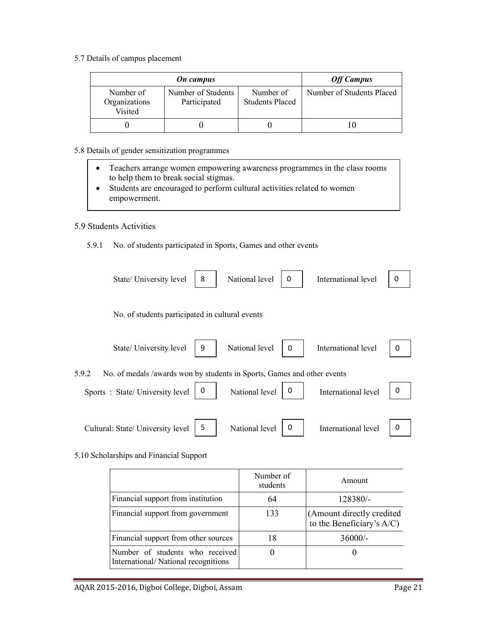5.7 Details of campus placement

|                                       | <b>Off Campus</b>                  |                                     |                           |
|---------------------------------------|------------------------------------|-------------------------------------|---------------------------|
| Number of<br>Organizations<br>Visited | Number of Students<br>Participated | Number of<br><b>Students Placed</b> | Number of Students Placed |
|                                       |                                    |                                     |                           |

#### 5.8 Details of gender sensitization programmes

- Teachers arrange women empowering awareness programmes in the class rooms to help them to break social stigmas.
- Students are encouraged to perform cultural activities related to women empowerment.

#### 5.9 Students Activities

5.9.1 No. of students participated in Sports, Games and other events

| State/ University level           | 8                                                                       | National level | 0 | International level | $\Omega$ |
|-----------------------------------|-------------------------------------------------------------------------|----------------|---|---------------------|----------|
|                                   | No. of students participated in cultural events                         |                |   |                     |          |
| State/ University level           | 9                                                                       | National level | 0 | International level | O        |
| 5.9.2                             | No. of medals /awards won by students in Sports, Games and other events |                |   |                     |          |
| Sports: State/University level    | 0                                                                       | National level | 0 | International level | 0        |
| Cultural: State/ University level | 5                                                                       | National level | 0 | International level | 0        |

#### 5.10 Scholarships and Financial Support

|                                                                        | Number of<br>students | Amount                                                  |
|------------------------------------------------------------------------|-----------------------|---------------------------------------------------------|
| Financial support from institution                                     | 64                    | 128380/-                                                |
| Financial support from government                                      | 133                   | (Amount directly credited)<br>to the Beneficiary's A/C) |
| Financial support from other sources                                   | 18                    | $36000/-$                                               |
| Number of students who received<br>International/National recognitions |                       |                                                         |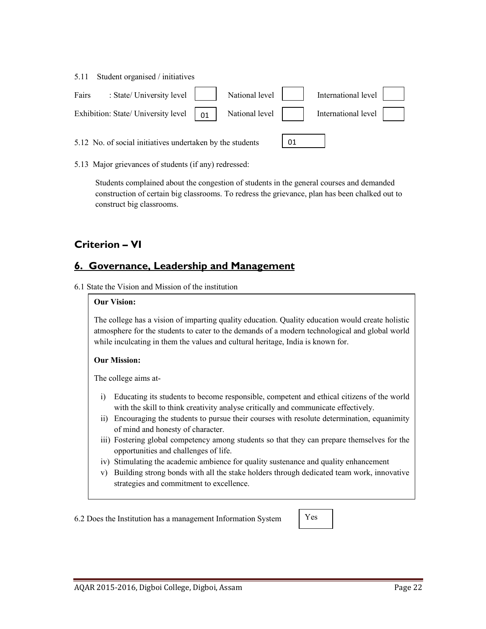|       | 5.11 Student organised / initiatives                                                                                                                                                                    |  |                     |  |
|-------|---------------------------------------------------------------------------------------------------------------------------------------------------------------------------------------------------------|--|---------------------|--|
| Fairs | $\therefore$ State/ University level $\parallel$ National level                                                                                                                                         |  | International level |  |
|       | Exhibition: State/ University level $\begin{vmatrix} 0 & \cdots \end{vmatrix}$ National level $\begin{vmatrix} 1 & \cdots \end{vmatrix}$ International level $\begin{vmatrix} 1 & \cdots \end{vmatrix}$ |  |                     |  |
|       |                                                                                                                                                                                                         |  |                     |  |

5.13 Major grievances of students (if any) redressed:

5.12 No. of social initiatives undertaken by the students

Students complained about the congestion of students in the general courses and demanded construction of certain big classrooms. To redress the grievance, plan has been chalked out to construct big classrooms.

01

# Criterion – VI

# 6. Governance, Leadership and Management

6.1 State the Vision and Mission of the institution

#### Our Vision:

The college has a vision of imparting quality education. Quality education would create holistic atmosphere for the students to cater to the demands of a modern technological and global world while inculcating in them the values and cultural heritage, India is known for.

#### Our Mission:

The college aims at-

- i) Educating its students to become responsible, competent and ethical citizens of the world with the skill to think creativity analyse critically and communicate effectively.
- ii) Encouraging the students to pursue their courses with resolute determination, equanimity of mind and honesty of character.
- iii) Fostering global competency among students so that they can prepare themselves for the opportunities and challenges of life.
- iv) Stimulating the academic ambience for quality sustenance and quality enhancement
- v) Building strong bonds with all the stake holders through dedicated team work, innovative strategies and commitment to excellence.

6.2 Does the Institution has a management Information System

Yes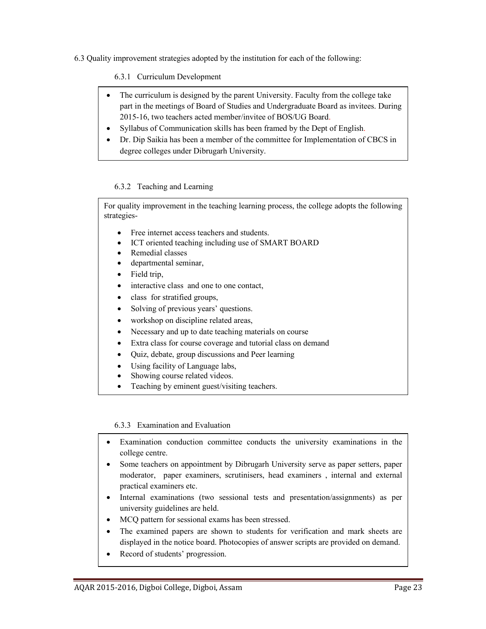6.3 Quality improvement strategies adopted by the institution for each of the following:

6.3.1 Curriculum Development

- The curriculum is designed by the parent University. Faculty from the college take part in the meetings of Board of Studies and Undergraduate Board as invitees. During 2015-16, two teachers acted member/invitee of BOS/UG Board.
- Syllabus of Communication skills has been framed by the Dept of English.
- Dr. Dip Saikia has been a member of the committee for Implementation of CBCS in degree colleges under Dibrugarh University.

#### 6.3.2 Teaching and Learning

For quality improvement in the teaching learning process, the college adopts the following strategies-

- Free internet access teachers and students.
- ICT oriented teaching including use of SMART BOARD
- Remedial classes
- departmental seminar,
- Field trip,
- interactive class and one to one contact,
- class for stratified groups,
- Solving of previous years' questions.
- workshop on discipline related areas,
- Necessary and up to date teaching materials on course
- Extra class for course coverage and tutorial class on demand
- Quiz, debate, group discussions and Peer learning
- Using facility of Language labs,
- Showing course related videos.
- Teaching by eminent guest/visiting teachers.

#### 6.3.3 Examination and Evaluation

- Examination conduction committee conducts the university examinations in the college centre.
- Some teachers on appointment by Dibrugarh University serve as paper setters, paper moderator, paper examiners, scrutinisers, head examiners , internal and external practical examiners etc.
- Internal examinations (two sessional tests and presentation/assignments) as per university guidelines are held.
- MCQ pattern for sessional exams has been stressed.
- The examined papers are shown to students for verification and mark sheets are displayed in the notice board. Photocopies of answer scripts are provided on demand.
- Record of students' progression.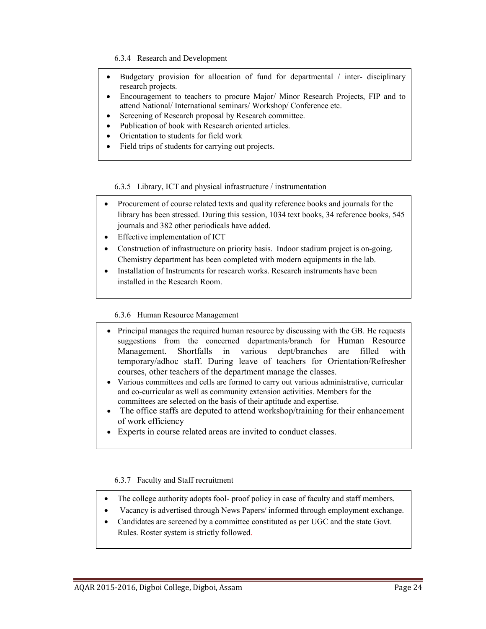6.3.4 Research and Development

- Budgetary provision for allocation of fund for departmental  $\ell$  inter- disciplinary research projects.
- Encouragement to teachers to procure Major/ Minor Research Projects, FIP and to attend National/ International seminars/ Workshop/ Conference etc.
- Screening of Research proposal by Research committee.
- Publication of book with Research oriented articles.
- Orientation to students for field work
- Field trips of students for carrying out projects.

6.3.5 Library, ICT and physical infrastructure / instrumentation

- Procurement of course related texts and quality reference books and journals for the library has been stressed. During this session, 1034 text books, 34 reference books, 545 journals and 382 other periodicals have added.
- Effective implementation of ICT
- Construction of infrastructure on priority basis. Indoor stadium project is on-going. Chemistry department has been completed with modern equipments in the lab.
- Installation of Instruments for research works. Research instruments have been installed in the Research Room.

#### 6.3.6 Human Resource Management

- Principal manages the required human resource by discussing with the GB. He requests suggestions from the concerned departments/branch for Human Resource Management. Shortfalls in various dept/branches are filled with temporary/adhoc staff. During leave of teachers for Orientation/Refresher courses, other teachers of the department manage the classes.
- Various committees and cells are formed to carry out various administrative, curricular and co-curricular as well as community extension activities. Members for the committees are selected on the basis of their aptitude and expertise.
- The office staffs are deputed to attend workshop/training for their enhancement of work efficiency
- Experts in course related areas are invited to conduct classes.

#### 6.3.7 Faculty and Staff recruitment

- The college authority adopts fool- proof policy in case of faculty and staff members.
- Vacancy is advertised through News Papers/ informed through employment exchange.
- Candidates are screened by a committee constituted as per UGC and the state Govt. Rules. Roster system is strictly followed.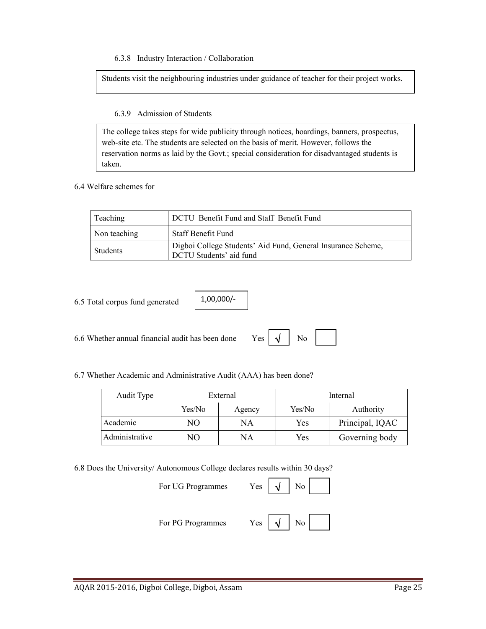6.3.8 Industry Interaction / Collaboration

Students visit the neighbouring industries under guidance of teacher for their project works.

6.3.9 Admission of Students

The college takes steps for wide publicity through notices, hoardings, banners, prospectus, web-site etc. The students are selected on the basis of merit. However, follows the reservation norms as laid by the Govt.; special consideration for disadvantaged students is taken.

6.4 Welfare schemes for

| Teaching     | DCTU Benefit Fund and Staff Benefit Fund                                                |
|--------------|-----------------------------------------------------------------------------------------|
| Non teaching | <b>Staff Benefit Fund</b>                                                               |
| Students     | Digboi College Students' Aid Fund, General Insurance Scheme,<br>DCTU Students' aid fund |

6.5 Total corpus fund generated

1,00,000/-

6.6 Whether annual financial audit has been done Yes  $\vert \sqrt{\vert}$  No

√

6.7 Whether Academic and Administrative Audit (AAA) has been done?

| Audit Type     | External |        | Internal |                 |
|----------------|----------|--------|----------|-----------------|
|                | Yes/No   | Agency | Yes/No   | Authority       |
| Academic       | NО       | NA     | Yes      | Principal, IQAC |
| Administrative | NО       | NA     | Yes      | Governing body  |

6.8 Does the University/ Autonomous College declares results within 30 days?

For UG Programmes Yes

For PG Programmes

|--|--|--|--|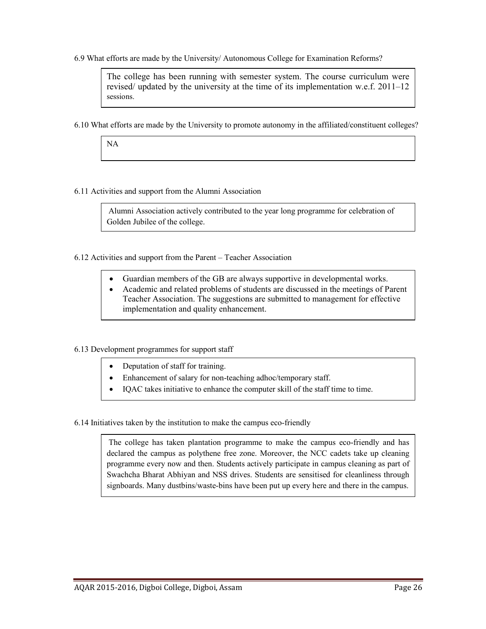6.9 What efforts are made by the University/ Autonomous College for Examination Reforms?

The college has been running with semester system. The course curriculum were revised/ updated by the university at the time of its implementation w.e.f. 2011–12 sessions.

6.10 What efforts are made by the University to promote autonomy in the affiliated/constituent colleges?

NA

6.11 Activities and support from the Alumni Association

Alumni Association actively contributed to the year long programme for celebration of Golden Jubilee of the college.

6.12 Activities and support from the Parent – Teacher Association

- Guardian members of the GB are always supportive in developmental works.
- Academic and related problems of students are discussed in the meetings of Parent Teacher Association. The suggestions are submitted to management for effective implementation and quality enhancement.

#### 6.13 Development programmes for support staff

- Deputation of staff for training.
- Enhancement of salary for non-teaching adhoc/temporary staff.
- IQAC takes initiative to enhance the computer skill of the staff time to time.

6.14 Initiatives taken by the institution to make the campus eco-friendly

The college has taken plantation programme to make the campus eco-friendly and has declared the campus as polythene free zone. Moreover, the NCC cadets take up cleaning programme every now and then. Students actively participate in campus cleaning as part of Swachcha Bharat Abhiyan and NSS drives. Students are sensitised for cleanliness through signboards. Many dustbins/waste-bins have been put up every here and there in the campus.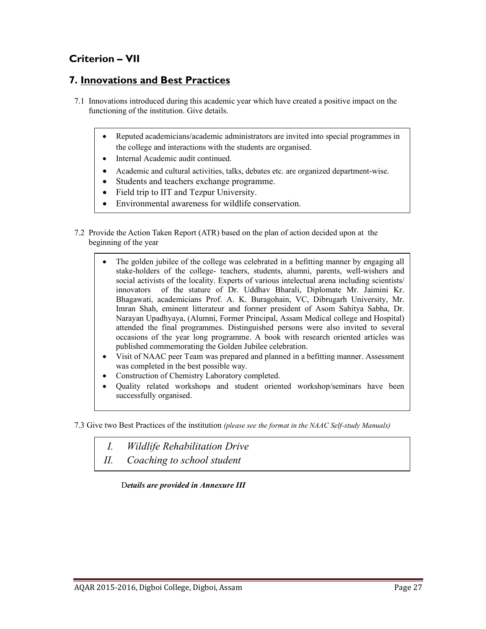# Criterion – VII

### 7. Innovations and Best Practices

- 7.1 Innovations introduced during this academic year which have created a positive impact on the functioning of the institution. Give details.
	- Reputed academicians/academic administrators are invited into special programmes in the college and interactions with the students are organised.
	- Internal Academic audit continued.
	- Academic and cultural activities, talks, debates etc. are organized department-wise.
	- Students and teachers exchange programme.
	- Field trip to IIT and Tezpur University.
	- Environmental awareness for wildlife conservation.
- 7.2 Provide the Action Taken Report (ATR) based on the plan of action decided upon at the beginning of the year
	- The golden jubilee of the college was celebrated in a befitting manner by engaging all stake-holders of the college- teachers, students, alumni, parents, well-wishers and social activists of the locality. Experts of various intelectual arena including scientists/ innovators of the stature of Dr. Uddhav Bharali, Diplomate Mr. Jaimini Kr. Bhagawati, academicians Prof. A. K. Buragohain, VC, Dibrugarh University, Mr. Imran Shah, eminent litterateur and former president of Asom Sahitya Sabha, Dr. Narayan Upadhyaya, (Alumni, Former Principal, Assam Medical college and Hospital) attended the final programmes. Distinguished persons were also invited to several occasions of the year long programme. A book with research oriented articles was published commemorating the Golden Jubilee celebration.
	- Visit of NAAC peer Team was prepared and planned in a befitting manner. Assessment was completed in the best possible way.
	- Construction of Chemistry Laboratory completed.
	- Quality related workshops and student oriented workshop/seminars have been successfully organised.

7.3 Give two Best Practices of the institution (please see the format in the NAAC Self-study Manuals)

- I. Wildlife Rehabilitation Drive
- II. Coaching to school student

Details are provided in Annexure III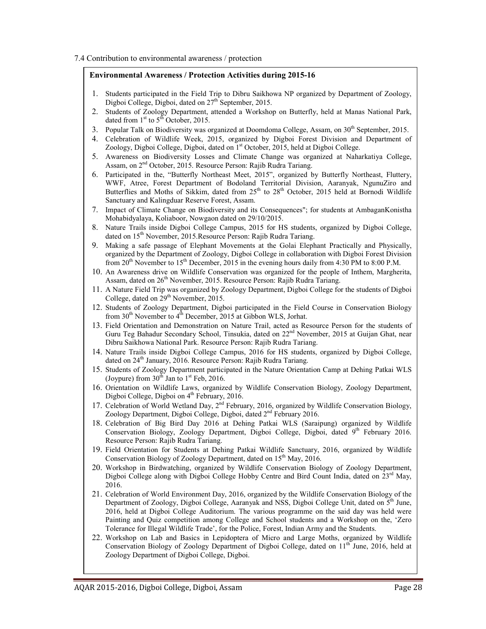7.4 Contribution to environmental awareness / protection

#### Environmental Awareness / Protection Activities during 2015-16

- 1. Students participated in the Field Trip to Dibru Saikhowa NP organized by Department of Zoology, Digboi College, Digboi, dated on  $27<sup>th</sup>$  September, 2015.
- 2. Students of Zoology Department, attended a Workshop on Butterfly, held at Manas National Park, dated from  $1<sup>st</sup>$  to  $5<sup>th</sup>$  October, 2015.
- 3. Popular Talk on Biodiversity was organized at Doomdoma College, Assam, on  $30<sup>th</sup>$  September, 2015.
- 4. Celebration of Wildlife Week, 2015, organized by Digboi Forest Division and Department of Zoology, Digboi College, Digboi, dated on 1<sup>st</sup> October, 2015, held at Digboi College.
- 5. Awareness on Biodiversity Losses and Climate Change was organized at Naharkatiya College, Assam, on 2<sup>nd</sup> October, 2015. Resource Person: Rajib Rudra Tariang.
- 6. Participated in the, "Butterfly Northeast Meet, 2015", organized by Butterfly Northeast, Fluttery, WWF, Atree, Forest Department of Bodoland Territorial Division, Aaranyak, NgunuZiro and Butterflies and Moths of Sikkim, dated from 25<sup>th</sup> to 28<sup>th</sup> October, 2015 held at Bornodi Wildlife Sanctuary and Kalingduar Reserve Forest, Assam.
- 7. Impact of Climate Change on Biodiversity and its Consequences"; for students at AmbaganKonistha Mohabidyalaya, Koliaboor, Nowgaon dated on 29/10/2015.
- 8. Nature Trails inside Digboi College Campus, 2015 for HS students, organized by Digboi College, dated on 15<sup>th</sup> November, 2015.Resource Person: Rajib Rudra Tariang.
- 9. Making a safe passage of Elephant Movements at the Golai Elephant Practically and Physically, organized by the Department of Zoology, Digboi College in collaboration with Digboi Forest Division from 20<sup>th</sup> November to 15<sup>th</sup> December, 2015 in the evening hours daily from 4:30 PM to 8:00 P.M.
- 10. An Awareness drive on Wildlife Conservation was organized for the people of Inthem, Margherita, Assam, dated on 26<sup>th</sup> November, 2015. Resource Person: Rajib Rudra Tariang.
- 11. A Nature Field Trip was organized by Zoology Department, Digboi College for the students of Digboi College, dated on  $29<sup>th</sup>$  November, 2015.
- 12. Students of Zoology Department, Digboi participated in the Field Course in Conservation Biology from  $30<sup>th</sup>$  November to  $4<sup>th</sup>$  December, 2015 at Gibbon WLS, Jorhat.
- 13. Field Orientation and Demonstration on Nature Trail, acted as Resource Person for the students of Guru Teg Bahadur Secondary School, Tinsukia, dated on  $22<sup>nd</sup>$  November, 2015 at Guijan Ghat, near Dibru Saikhowa National Park. Resource Person: Rajib Rudra Tariang.
- 14. Nature Trails inside Digboi College Campus, 2016 for HS students, organized by Digboi College, dated on  $24<sup>th</sup>$  January, 2016. Resource Person: Rajib Rudra Tariang.
- 15. Students of Zoology Department participated in the Nature Orientation Camp at Dehing Patkai WLS (Joypure) from  $30^{th}$  Jan to  $1^{st}$  Feb, 2016.
- 16. Orientation on Wildlife Laws, organized by Wildlife Conservation Biology, Zoology Department, Digboi College, Digboi on 4<sup>th</sup> February, 2016.
- 17. Celebration of World Wetland Day,  $2<sup>nd</sup>$  February, 2016, organized by Wildlife Conservation Biology, Zoology Department, Digboi College, Digboi, dated 2<sup>nd</sup> February 2016.
- 18. Celebration of Big Bird Day 2016 at Dehing Patkai WLS (Saraipung) organized by Wildlife Conservation Biology, Zoology Department, Digboi College, Digboi, dated  $9<sup>th</sup>$  February 2016. Resource Person: Rajib Rudra Tariang.
- 19. Field Orientation for Students at Dehing Patkai Wildlife Sanctuary, 2016, organized by Wildlife Conservation Biology of Zoology Department, dated on 15<sup>th</sup> May, 2016.
- 20. Workshop in Birdwatching, organized by Wildlife Conservation Biology of Zoology Department, Digboi College along with Digboi College Hobby Centre and Bird Count India, dated on  $23<sup>rd</sup>$  May, 2016.
- 21. Celebration of World Environment Day, 2016, organized by the Wildlife Conservation Biology of the Department of Zoology, Digboi College, Aaranyak and NSS, Digboi College Unit, dated on  $\bar{5}^{\text{th}}$  June, 2016, held at Digboi College Auditorium. The various programme on the said day was held were Painting and Quiz competition among College and School students and a Workshop on the, 'Zero Tolerance for Illegal Wildlife Trade', for the Police, Forest, Indian Army and the Students.
- 22. Workshop on Lab and Basics in Lepidoptera of Micro and Large Moths, organized by Wildlife Conservation Biology of Zoology Department of Digboi College, dated on 11<sup>th</sup> June, 2016, held at Zoology Department of Digboi College, Digboi.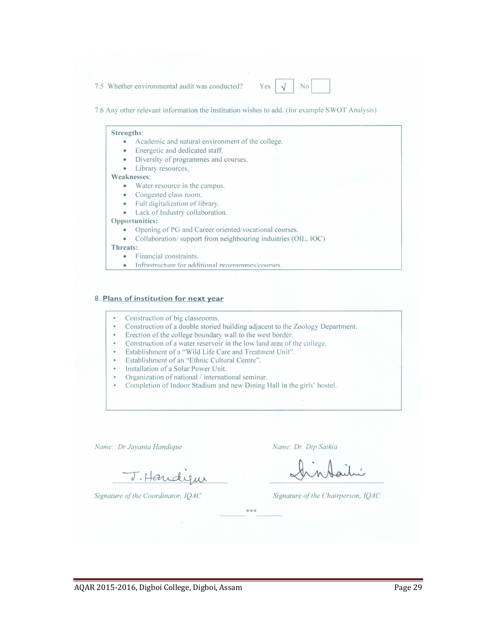7.5 Whether environmental audit was conducted?

7.6 Any other relevant information the institution wishes to add. (for example SWOT Analysis)

#### Strengths:

- Academic and natural environment of the college.  $\bullet$
- Energetic and dedicated staff. ۰
- Diversity of programmes and courses.
- Library resources.  $\bullet$

#### Weaknesses:

- Water resource in the campus.
- Congested class room.
- Full digitalization of library.
- Lack of Industry collaboration.

#### Opportunities:

- Opening of PG and Career oriented/vocational courses.
- Collaboration/support from neighbouring industries (OIL, IOC)  $\bullet$

#### Threats:

- Financial constraints.  $\bullet$
- Infrastructure for additional programmes/courses  $\bullet$

#### 8. Plans of institution for next year

- Construction of big classrooms.
- Construction of a double storied building adjacent to the Zoology Department.
- Erection of the college boundary wall to the west border.
- Construction of a water reservoir in the low land area of the college.
- Establishment of a "Wild Life Care and Treatment Unit".
- Establishment of an "Ethnic Cultural Centre".
- Installation of a Solar Power Unit.
- Organization of national / international seminar.
- Completion of Indoor Stadium and new Dining Hall in the girls' hostel.

Name: Dr Jayanta Handique

J. Handyw

Name: Dr. Dip Saikia

Signature of the Coordinator, IQAC

Signature of the Chairperson, IQAC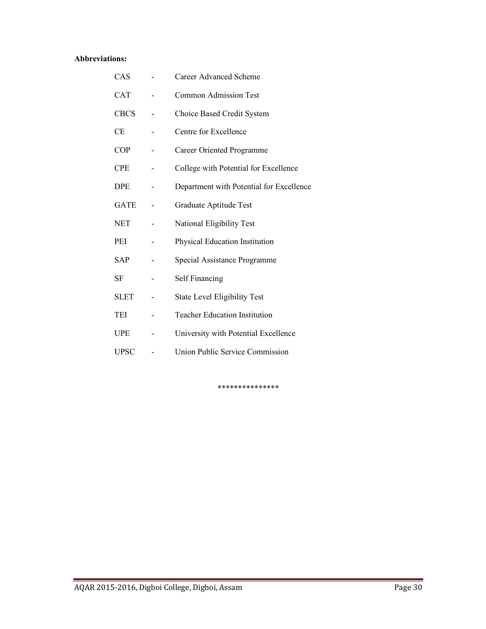#### Abbreviations:

| CAS         | <b>Career Advanced Scheme</b>            |
|-------------|------------------------------------------|
| <b>CAT</b>  | <b>Common Admission Test</b>             |
| <b>CBCS</b> | Choice Based Credit System               |
| СE          | Centre for Excellence                    |
| <b>COP</b>  | Career Oriented Programme                |
| <b>CPE</b>  | College with Potential for Excellence    |
| <b>DPE</b>  | Department with Potential for Excellence |
| <b>GATE</b> | Graduate Aptitude Test                   |
| <b>NET</b>  | National Eligibility Test                |
| PEI         | Physical Education Institution           |
| <b>SAP</b>  | Special Assistance Programme             |
| <b>SF</b>   | Self Financing                           |
| <b>SLET</b> | <b>State Level Eligibility Test</b>      |
| TEI         | <b>Teacher Education Institution</b>     |
| <b>UPE</b>  | University with Potential Excellence     |
| <b>UPSC</b> | Union Public Service Commission          |

\*\*\*\*\*\*\*\*\*\*\*\*\*\*\*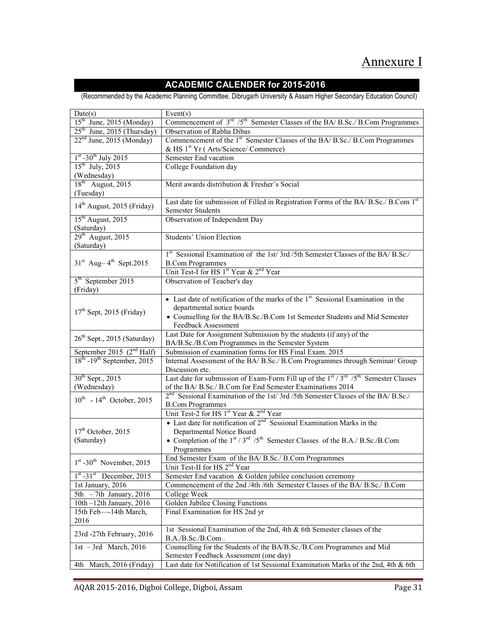# Annexure I

### ACADEMIC CALENDER for 2015-2016

(Recommended by the Academic Planning Committee, Dibrugarh University & Assam Higher Secondary Education Council)

| Date(s)                                 | Event(s)                                                                                                                      |
|-----------------------------------------|-------------------------------------------------------------------------------------------------------------------------------|
| 15 <sup>th</sup> June, 2015 (Monday)    | Commencement of 3 <sup>rd</sup> /5 <sup>th</sup> Semester Classes of the BA/ B.Sc./ B.Com Programmes                          |
| $25th$ June, 2015 (Thursday)            | Observation of Rabha Dibas                                                                                                    |
| $22nd$ June, 2015 (Monday)              | Commencement of the 1 <sup>st</sup> Semester Classes of the BA/ B.Sc./ B.Com Programmes                                       |
|                                         | & HS 1 <sup>st</sup> Yr (Arts/Science/Commerce)                                                                               |
| $1st - 30th$ July 2015                  | Semester End vacation                                                                                                         |
| $15^{th}$ July, 2015                    | College Foundation day                                                                                                        |
| (Wednesday)                             |                                                                                                                               |
| $18th$ August, 2015                     | Merit awards distribution & Fresher's Social                                                                                  |
| (Tuesday)                               |                                                                                                                               |
| 14 <sup>th</sup> August, 2015 (Friday)  | Last date for submission of Filled in Registration Forms of the BA/ B.Sc./ B.Com 1st                                          |
|                                         | <b>Semester Students</b>                                                                                                      |
| 15 <sup>th</sup> August, 2015           | Observation of Independent Day                                                                                                |
| (Saturday)                              |                                                                                                                               |
| $29th$ August, 2015                     | <b>Students' Union Election</b>                                                                                               |
| (Saturday)                              |                                                                                                                               |
| $31st$ Aug-4 <sup>th</sup> Sept.2015    | 1st Sessional Examination of the 1st/3rd/5th Semester Classes of the BA/B.Sc./                                                |
|                                         | <b>B.Com Programmes</b><br>Unit Test-I for HS 1 <sup>st</sup> Year & 2 <sup>nd</sup> Year                                     |
| 5 <sup>th</sup> September 2015          | Observation of Teacher's day                                                                                                  |
| (Friday)                                |                                                                                                                               |
|                                         | • Last date of notification of the marks of the $1st$ Sessional Examination in the                                            |
|                                         | departmental notice boards                                                                                                    |
| $17th$ Sept, 2015 (Friday)              | • Counselling for the BA/B.Sc./B.Com 1st Semester Students and Mid Semester                                                   |
|                                         | Feedback Assessment                                                                                                           |
|                                         | Last Date for Assignment Submission by the students (if any) of the                                                           |
| 26 <sup>th</sup> Sept., 2015 (Saturday) | BA/B.Sc./B.Com Programmes in the Semester System                                                                              |
| September 2015 $(2nd Half)$             | Submission of examination forms for HS Final Exam. 2015                                                                       |
| $18th - 19th$ September, 2015           | Internal Assessment of the BA/ B.Sc./ B.Com Programmes through Seminar/ Group                                                 |
|                                         | Discussion etc.                                                                                                               |
| $30^{th}$ Sept., 2015                   | Last date for submission of Exam-Form Fill up of the $1st / 3rd / 5th$ Semester Classes                                       |
| (Wednesday)                             | of the BA/ B.Sc./ B.Com for End Semester Examinations 2014                                                                    |
| $10^{th}$ - $14^{th}$ October, 2015     | 2 <sup>nd</sup> Sessional Examination of the 1st/3rd/5th Semester Classes of the BA/ B.Sc./                                   |
|                                         | <b>B.Com Programmes</b>                                                                                                       |
|                                         | Unit Test-2 for HS 1st Year & 2 <sup>nd</sup> Year                                                                            |
|                                         | • Last date for notification of $2^{nd}$ Sessional Examination Marks in the                                                   |
| $17th$ October, 2015                    | Departmental Notice Board                                                                                                     |
| (Saturday)                              | • Completion of the $1st / 3rd / 5th$ Semester Classes of the B.A./ B.Sc./B.Com                                               |
|                                         | Programmes                                                                                                                    |
| $1st - 30th$ November, 2015             | End Semester Exam of the BA/B.Sc./B.Com Programmes                                                                            |
|                                         | Unit Test-II for HS $2na$ Year                                                                                                |
| $1st -31st$ December, 2015              | Semester End vacation & Golden jubilee conclusion ceremony                                                                    |
| 1st January, 2016                       | Commencement of the 2nd /4th /6th Semester Classes of the BA/ B.Sc./ B.Com                                                    |
| 5th $-7$ th January, 2016               | College Week                                                                                                                  |
| 10th -12th January, 2016                | Golden Jubilee Closing Functions                                                                                              |
| 15th Feb-14th March,                    | Final Examination for HS 2nd yr                                                                                               |
| 2016                                    |                                                                                                                               |
| 23rd -27th February, 2016               | 1st Sessional Examination of the 2nd, 4th & 6th Semester classes of the                                                       |
|                                         | B.A./B.Sc./B.Com.                                                                                                             |
| 1st $-3$ rd March, 2016                 | Counselling for the Students of the BA/B.Sc./B.Com Programmes and Mid                                                         |
|                                         | Semester Feedback Assessment (one day)<br>Last date for Notification of 1st Sessional Examination Marks of the 2nd, 4th & 6th |
| 4th March, 2016 (Friday)                |                                                                                                                               |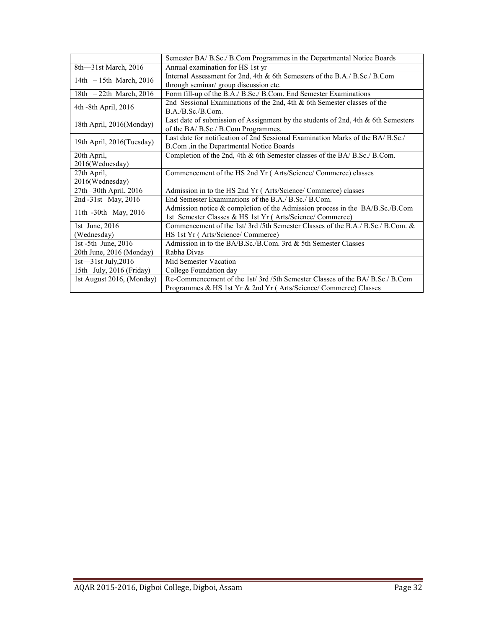|                           | Semester BA/ B.Sc./ B.Com Programmes in the Departmental Notice Boards                      |
|---------------------------|---------------------------------------------------------------------------------------------|
| 8th—31st March, 2016      | Annual examination for HS 1st yr                                                            |
| 14th $-15$ th March, 2016 | Internal Assessment for 2nd, 4th & 6th Semesters of the B.A./ B.Sc./ B.Com                  |
|                           | through seminar/ group discussion etc.                                                      |
| 18th $-22$ th March, 2016 | Form fill-up of the B.A./ B.Sc./ B.Com. End Semester Examinations                           |
| 4th -8th April, 2016      | 2nd Sessional Examinations of the 2nd, 4th $\&$ 6th Semester classes of the                 |
|                           | B.A./B.Sc./B.Com.                                                                           |
| 18th April, 2016(Monday)  | Last date of submission of Assignment by the students of 2nd, 4th & 6th Semesters           |
|                           | of the BA/B.Sc./B.Com Programmes.                                                           |
| 19th April, 2016(Tuesday) | Last date for notification of 2nd Sessional Examination Marks of the BA/B.Sc./              |
|                           | B.Com .in the Departmental Notice Boards                                                    |
| 20th April,               | Completion of the 2nd, 4th & 6th Semester classes of the BA/ B.Sc./ B.Com.                  |
| 2016(Wednesday)           |                                                                                             |
| 27th April,               | Commencement of the HS 2nd Yr (Arts/Science/Commerce) classes                               |
| 2016(Wednesday)           |                                                                                             |
| 27th -30th April, 2016    | Admission in to the HS 2nd Yr (Arts/Science/Commerce) classes                               |
| 2nd -31st May, 2016       | End Semester Examinations of the B.A./ B.Sc./ B.Com.                                        |
| 11th -30th May, 2016      | Admission notice & completion of the Admission process in the BA/B.Sc./B.Com                |
|                           | 1st Semester Classes & HS 1st Yr (Arts/Science/Commerce)                                    |
| 1st June, 2016            | Commencement of the 1st/3rd/5th Semester Classes of the B.A. $\beta$ B.Sc. $\beta$ B.Com. & |
| (Wednesday)               | HS 1st Yr (Arts/Science/Commerce)                                                           |
| 1st -5th June, 2016       | Admission in to the BA/B.Sc./B.Com. 3rd & 5th Semester Classes                              |
| 20th June, 2016 (Monday)  | Rabha Divas                                                                                 |
| $1st - 31st$ July, 2016   | Mid Semester Vacation                                                                       |
| 15th July, 2016 (Friday)  | College Foundation day                                                                      |
| 1st August 2016, (Monday) | Re-Commencement of the 1st/3rd/5th Semester Classes of the BA/B.Sc./B.Com                   |
|                           | Programmes & HS 1st Yr & 2nd Yr (Arts/Science/Commerce) Classes                             |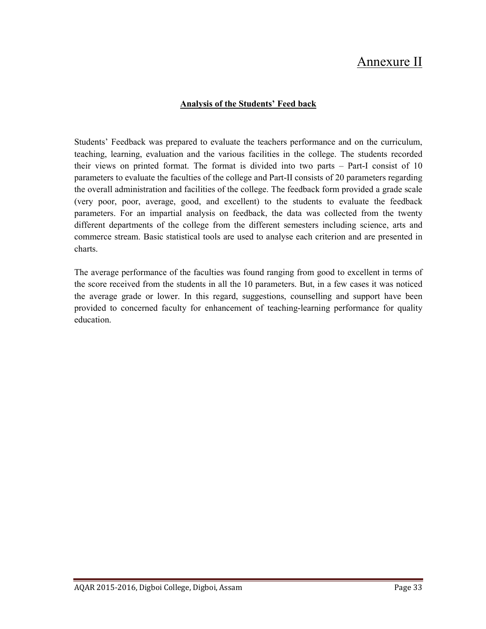# Annexure II

#### Analysis of the Students' Feed back

Students' Feedback was prepared to evaluate the teachers performance and on the curriculum, teaching, learning, evaluation and the various facilities in the college. The students recorded their views on printed format. The format is divided into two parts – Part-I consist of 10 parameters to evaluate the faculties of the college and Part-II consists of 20 parameters regarding the overall administration and facilities of the college. The feedback form provided a grade scale (very poor, poor, average, good, and excellent) to the students to evaluate the feedback parameters. For an impartial analysis on feedback, the data was collected from the twenty different departments of the college from the different semesters including science, arts and commerce stream. Basic statistical tools are used to analyse each criterion and are presented in charts.

The average performance of the faculties was found ranging from good to excellent in terms of the score received from the students in all the 10 parameters. But, in a few cases it was noticed the average grade or lower. In this regard, suggestions, counselling and support have been provided to concerned faculty for enhancement of teaching-learning performance for quality education.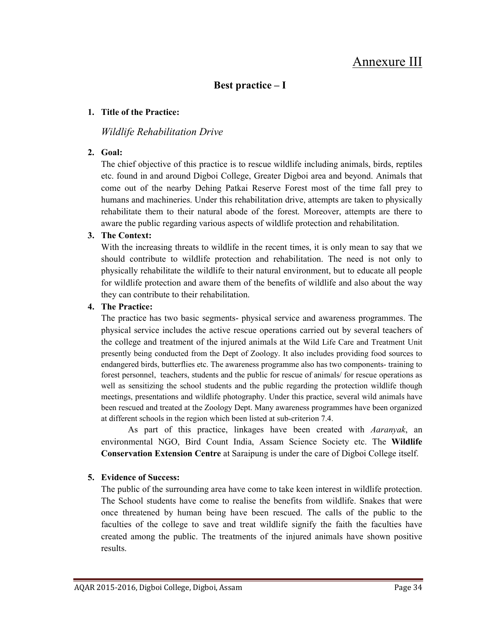# Annexure III

## Best practice – I

#### 1. Title of the Practice:

#### Wildlife Rehabilitation Drive

#### 2. Goal:

The chief objective of this practice is to rescue wildlife including animals, birds, reptiles etc. found in and around Digboi College, Greater Digboi area and beyond. Animals that come out of the nearby Dehing Patkai Reserve Forest most of the time fall prey to humans and machineries. Under this rehabilitation drive, attempts are taken to physically rehabilitate them to their natural abode of the forest. Moreover, attempts are there to aware the public regarding various aspects of wildlife protection and rehabilitation.

#### 3. The Context:

With the increasing threats to wildlife in the recent times, it is only mean to say that we should contribute to wildlife protection and rehabilitation. The need is not only to physically rehabilitate the wildlife to their natural environment, but to educate all people for wildlife protection and aware them of the benefits of wildlife and also about the way they can contribute to their rehabilitation.

#### 4. The Practice:

The practice has two basic segments- physical service and awareness programmes. The physical service includes the active rescue operations carried out by several teachers of the college and treatment of the injured animals at the Wild Life Care and Treatment Unit presently being conducted from the Dept of Zoology. It also includes providing food sources to endangered birds, butterflies etc. The awareness programme also has two components- training to forest personnel, teachers, students and the public for rescue of animals/ for rescue operations as well as sensitizing the school students and the public regarding the protection wildlife though meetings, presentations and wildlife photography. Under this practice, several wild animals have been rescued and treated at the Zoology Dept. Many awareness programmes have been organized at different schools in the region which been listed at sub-criterion 7.4.

As part of this practice, linkages have been created with *Aaranyak*, an environmental NGO, Bird Count India, Assam Science Society etc. The Wildlife Conservation Extension Centre at Saraipung is under the care of Digboi College itself.

#### 5. Evidence of Success:

The public of the surrounding area have come to take keen interest in wildlife protection. The School students have come to realise the benefits from wildlife. Snakes that were once threatened by human being have been rescued. The calls of the public to the faculties of the college to save and treat wildlife signify the faith the faculties have created among the public. The treatments of the injured animals have shown positive results.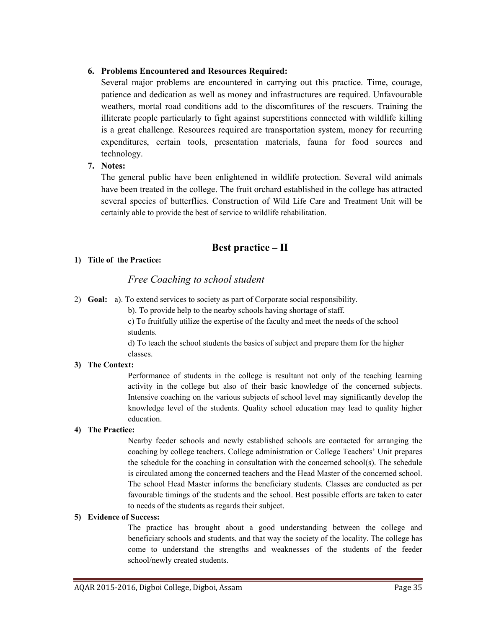#### 6. Problems Encountered and Resources Required:

Several major problems are encountered in carrying out this practice. Time, courage, patience and dedication as well as money and infrastructures are required. Unfavourable weathers, mortal road conditions add to the discomfitures of the rescuers. Training the illiterate people particularly to fight against superstitions connected with wildlife killing is a great challenge. Resources required are transportation system, money for recurring expenditures, certain tools, presentation materials, fauna for food sources and technology.

#### 7. Notes:

The general public have been enlightened in wildlife protection. Several wild animals have been treated in the college. The fruit orchard established in the college has attracted several species of butterflies. Construction of Wild Life Care and Treatment Unit will be certainly able to provide the best of service to wildlife rehabilitation.

# Best practice – II

#### 1) Title of the Practice:

### Free Coaching to school student

2) Goal: a). To extend services to society as part of Corporate social responsibility.

b). To provide help to the nearby schools having shortage of staff.

c) To fruitfully utilize the expertise of the faculty and meet the needs of the school students.

d) To teach the school students the basics of subject and prepare them for the higher classes.

#### 3) The Context:

Performance of students in the college is resultant not only of the teaching learning activity in the college but also of their basic knowledge of the concerned subjects. Intensive coaching on the various subjects of school level may significantly develop the knowledge level of the students. Quality school education may lead to quality higher education.

#### 4) The Practice:

Nearby feeder schools and newly established schools are contacted for arranging the coaching by college teachers. College administration or College Teachers' Unit prepares the schedule for the coaching in consultation with the concerned school(s). The schedule is circulated among the concerned teachers and the Head Master of the concerned school. The school Head Master informs the beneficiary students. Classes are conducted as per favourable timings of the students and the school. Best possible efforts are taken to cater to needs of the students as regards their subject.

#### 5) Evidence of Success:

The practice has brought about a good understanding between the college and beneficiary schools and students, and that way the society of the locality. The college has come to understand the strengths and weaknesses of the students of the feeder school/newly created students.